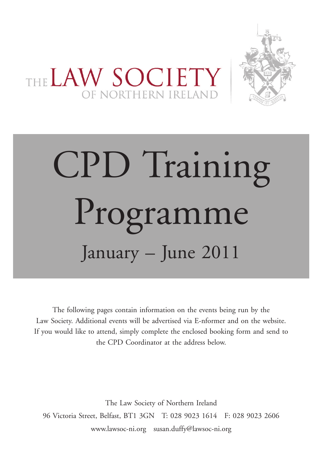

THE LAW SOCIETY

# CPD Training Programme January – June 2011

The following pages contain information on the events being run by the Law Society. Additional events will be advertised via E-nformer and on the website. If you would like to attend, simply complete the enclosed booking form and send to the CPD Coordinator at the address below.

The Law Society of Northern Ireland 96 Victoria Street, Belfast, BT1 3GN T: 028 9023 1614 F: 028 9023 2606 www.lawsoc-ni.org susan.duffy@lawsoc-ni.org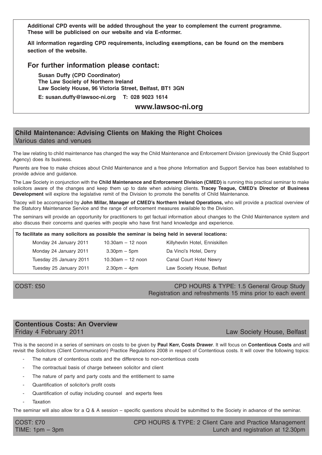**Additional CPD events will be added throughout the year to complement the current programme. These will be publicised on our website and via E-nformer.**

**All information regarding CPD requirements, including exemptions, can be found on the members section of the website.**

#### **For further information please contact:**

**Susan Duffy (CPD Coordinator) The Law Society of Northern Ireland Law Society House, 96 Victoria Street, Belfast, BT1 3GN**

**E: susan.duffy@lawsoc-ni.org T: 028 9023 1614**

#### **www.lawsoc-ni.org**

#### **Child Maintenance: Advising Clients on Making the Right Choices** Various dates and venues

The law relating to child maintenance has changed the way the Child Maintenance and Enforcement Division (previously the Child Support Agency) does its business.

Parents are free to make choices about Child Maintenance and a free phone Information and Support Service has been established to provide advice and guidance.

The Law Society in conjunction with the **Child Maintenance and Enforcement Division (CMED)** is running this practical seminar to make solicitors aware of the changes and keep them up to date when advising clients. **Tracey Teague, CMED's Director of Business Development** will explore the legislative remit of the Division to promote the benefits of Child Maintenance.

Tracey will be accompanied by **John Millar, Manager of CMED's Northern Ireland Operations,** who will provide a practical overview of the Statutory Maintenance Service and the range of enforcement measures available to the Division.

The seminars will provide an opportunity for practitioners to get factual information about changes to the Child Maintenance system and also discuss their concerns and queries with people who have first hand knowledge and experience.

| To facilitate as many solicitors as possible the seminar is being held in several locations: |                       |                                |  |
|----------------------------------------------------------------------------------------------|-----------------------|--------------------------------|--|
| Monday 24 January 2011                                                                       | $10.30$ am $-12$ noon | Killyhevlin Hotel, Enniskillen |  |
| Monday 24 January 2011                                                                       | $3.30pm - 5pm$        | Da Vinci's Hotel, Derry        |  |
| Tuesday 25 January 2011                                                                      | 10.30am $-$ 12 noon   | Canal Court Hotel Newry        |  |
| Tuesday 25 January 2011                                                                      | $2.30pm - 4pm$        | Law Society House, Belfast     |  |

COST: £50 COST: £50 Registration and refreshments 15 mins prior to each event

#### **Contentious Costs: An Overview** Friday 4 February 2011 Law Society House, Belfast

This is the second in a series of seminars on costs to be given by **Paul Kerr, Costs Drawer**. It will focus on **Contentious Costs** and will revisit the Solicitors (Client Communication) Practice Regulations 2008 in respect of Contentious costs. It will cover the following topics:

- The nature of contentious costs and the difference to non-contentious costs
- The contractual basis of charge between solicitor and client
- The nature of party and party costs and the entitlement to same
- Quantification of solicitor's profit costs
- Quantification of outlay including counsel and experts fees
- **Taxation**

The seminar will also allow for a Q & A session – specific questions should be submitted to the Society in advance of the seminar.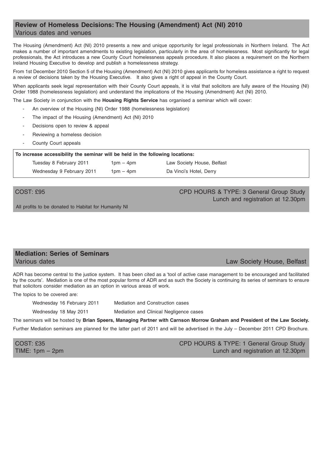## **Review of Homeless Decisions: The Housing (Amendment) Act (NI) 2010** Various dates and venues

The Housing (Amendment) Act (NI) 2010 presents a new and unique opportunity for legal professionals in Northern Ireland. The Act makes a number of important amendments to existing legislation, particularly in the area of homelessness. Most significantly for legal professionals, the Act introduces a new County Court homelessness appeals procedure. It also places a requirement on the Northern Ireland Housing Executive to develop and publish a homelessness strategy.

From 1st December 2010 Section 5 of the Housing (Amendment) Act (NI) 2010 gives applicants for homeless assistance a right to request a review of decisions taken by the Housing Executive. It also gives a right of appeal in the County Court.

When applicants seek legal representation with their County Court appeals, it is vital that solicitors are fully aware of the Housing (NI) Order 1988 (homelessness legislation) and understand the implications of the Housing (Amendment) Act (NI) 2010.

The Law Society in conjunction with the **Housing Rights Service** has organised a seminar which will cover:

- An overview of the Housing (NI) Order 1988 (homelessness legislation)
- The impact of the Housing (Amendment) Act (NI) 2010
- Decisions open to review & appeal
- Reviewing a homeless decision
- County Court appeals

**To increase accessibility the seminar will be held in the following locations:**

| Tuesday 8 February 2011   | $1pm - 4pm$ | Law Society House, Belfast |
|---------------------------|-------------|----------------------------|
| Wednesday 9 February 2011 | $1pm - 4pm$ | Da Vinci's Hotel, Derry    |

COST: £95 COST: £95 Lunch and registration at 12.30pm

All profits to be donated to Habitat for Humanity NI

#### **Mediation: Series of Seminars Various dates** Law Society House, Belfast

ADR has become central to the justice system. It has been cited as a 'tool of active case management to be encouraged and facilitated by the courts'. Mediation is one of the most popular forms of ADR and as such the Society is continuing its series of seminars to ensure that solicitors consider mediation as an option in various areas of work.

The topics to be covered are:

Wednesday 16 February 2011 Mediation and Construction cases

Wednesday 18 May 2011 Mediation and Clinical Negligence cases

The seminars will be hosted by **Brian Speers, Managing Partner with Carnson Morrow Graham and President of the Law Society.**

Further Mediation seminars are planned for the latter part of 2011 and will be advertised in the July – December 2011 CPD Brochure.

COST: £35 CPD HOURS & TYPE: 1 General Group Study TIME: 1pm – 2pm Lunch and registration at 12.30pm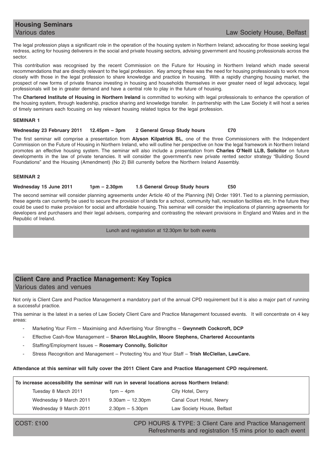# **Housing Seminars**

#### Various dates **Law Society House, Belfast**

The legal profession plays a significant role in the operation of the housing system in Northern Ireland; advocating for those seeking legal redress, acting for housing deliverers in the social and private housing sectors, advising government and housing professionals across the sector.

This contribution was recognised by the recent Commission on the Future for Housing in Northern Ireland which made several recommendations that are directly relevant to the legal profession. Key among these was the need for housing professionals to work more closely with those in the legal profession to share knowledge and practice in housing. With a rapidly changing housing market, the prospect of new forms of private finance investing in housing and households themselves in ever greater need of legal advocacy, legal professionals will be in greater demand and have a central role to play in the future of housing.

The **Chartered Institute of Housing in Northern Ireland** is committed to working with legal professionals to enhance the operation of the housing system, through leadership, practice sharing and knowledge transfer. In partnership with the Law Society it will host a series of timely seminars each focusing on key relevant housing related topics for the legal profession.

#### **SEMINAR 1**

#### **Wednesday 23 February 2011 12.45pm – 3pm 2 General Group Study hours £70**

The first seminar will comprise a presentation from **Alyson Kilpatrick BL**, one of the three Commissioners with the Independent Commission on the Future of Housing in Northern Ireland, who will outline her perspective on how the legal framework in Northern Ireland promotes an effective housing system. The seminar will also include a presentation from **Charles O'Neill LLB, Solicitor** on future developments in the law of private tenancies. It will consider the government's new private rented sector strategy "Building Sound Foundations" and the Housing (Amendment) (No 2) Bill currently before the Northern Ireland Assembly.

#### **SEMINAR 2**

#### **Wednesday 15 June 2011 1pm – 2.30pm 1.5 General Group Study hours £50**

The second seminar will consider planning agreements under Article 40 of the Planning (NI) Order 1991. Tied to a planning permission, these agents can currently be used to secure the provision of lands for a school, community hall, recreation facilities etc. In the future they could be used to make provision for social and affordable housing. This seminar will consider the implications of planning agreements for developers and purchasers and their legal advisers, comparing and contrasting the relevant provisions in England and Wales and in the Republic of Ireland.

Lunch and registration at 12.30pm for both events

## **Client Care and Practice Management: Key Topics** Various dates and venues

Not only is Client Care and Practice Management a mandatory part of the annual CPD requirement but it is also a major part of running a successful practice.

This seminar is the latest in a series of Law Society Client Care and Practice Management focussed events. It will concentrate on 4 key areas:

- Marketing Your Firm Maximising and Advertising Your Strengths **Gwynneth Cockcroft, DCP**
- Effective Cash-flow Management **Sharon McLaughlin, Moore Stephens, Chartered Accountants**
- Staffing/Employment Issues **Rosemary Connolly, Solicitor**
- Stress Recognition and Management Protecting You and Your Staff **Trish McClellan, LawCare.**

#### **Attendance at this seminar will fully cover the 2011 Client Care and Practice Management CPD requirement.**

#### **To increase accessibility the seminar will run in several locations across Northern Ireland:**

| Tuesday 8 March 2011   | $1pm - 4pm$           | City Hotel, Derry          |
|------------------------|-----------------------|----------------------------|
| Wednesday 9 March 2011 | $9.30$ am $-12.30$ pm | Canal Court Hotel, Newry   |
| Wednesday 9 March 2011 | $2.30pm - 5.30pm$     | Law Society House, Belfast |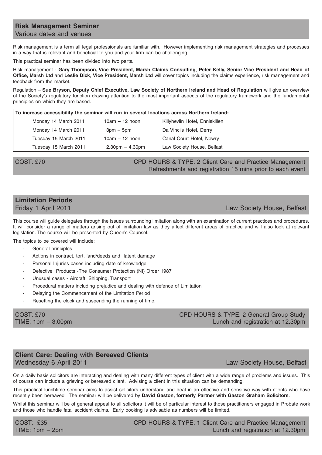#### **Risk Management Seminar** Various dates and venues

Risk management is a term all legal professionals are familiar with. However implementing risk management strategies and processes in a way that is relevant and beneficial to you and your firm can be challenging.

This practical seminar has been divided into two parts.

Risk management - **Gary Thompson, Vice President, Marsh Claims Consulting**, **Peter Kelly, Senior Vice President and Head of Office, Marsh Ltd** and **Leslie Dick**, **Vice President, Marsh Ltd** will cover topics including the claims experience, risk management and feedback from the market.

Regulation – **Sue Bryson, Deputy Chief Executive, Law Society of Northern Ireland and Head of Regulation** will give an overview of the Society's regulatory function drawing attention to the most important aspects of the regulatory framework and the fundamental principles on which they are based.

| To increase accessibility the seminar will run in several locations across Northern Ireland: |                   |                                |  |
|----------------------------------------------------------------------------------------------|-------------------|--------------------------------|--|
| Monday 14 March 2011                                                                         | $10am - 12$ noon  | Killyhevlin Hotel, Enniskillen |  |
| Monday 14 March 2011                                                                         | $3pm - 5pm$       | Da Vinci's Hotel, Derry        |  |
| Tuesday 15 March 2011                                                                        | $10am - 12$ noon  | Canal Court Hotel, Newry       |  |
| Tuesday 15 March 2011                                                                        | $2.30pm - 4.30pm$ | Law Society House, Belfast     |  |

#### COST: £70 CPD HOURS & TYPE: 2 Client Care and Practice Management Refreshments and registration 15 mins prior to each event

# **Limitation Periods**

#### Friday 1 April 2011 Law Society House, Belfast

This course will guide delegates through the issues surrounding limitation along with an examination of current practices and procedures. It will consider a range of matters arising out of limitation law as they affect different areas of practice and will also look at relevant legislation. The course will be presented by Queen's Counsel.

The topics to be covered will include:

- General principles
- Actions in contract, tort, land/deeds and latent damage
- Personal Injuries cases including date of knowledge
- Defective Products -The Consumer Protection (NI) Order 1987
- Unusual cases Aircraft, Shipping, Transport
- Procedural matters including prejudice and dealing with defence of Limitation
- Delaying the Commencement of the Limitation Period
- Resetting the clock and suspending the running of time.

COST: £70 COST: £70 TIME: 1pm – 3.00pm Lunch and registration at 12.30pm

## **Client Care: Dealing with Bereaved Clients** Wednesday 6 April 2011 **Law Society House, Belfast**

On a daily basis solicitors are interacting and dealing with many different types of client with a wide range of problems and issues. This of course can include a grieving or bereaved client. Advising a client in this situation can be demanding.

This practical lunchtime seminar aims to assist solicitors understand and deal in an effective and sensitive way with clients who have recently been bereaved. The seminar will be delivered by **David Gaston, formerly Partner with Gaston Graham Solicitors**.

Whilst this seminar will be of general appeal to all solicitors it will be of particular interest to those practitioners engaged in Probate work and those who handle fatal accident claims. Early booking is advisable as numbers will be limited.

COST: £35 CPD HOURS & TYPE: 1 Client Care and Practice Management TIME: 1pm – 2pm Lunch and registration at 12.30pm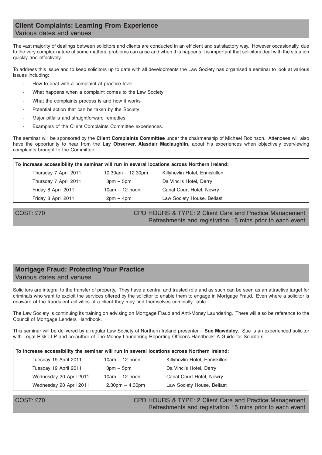## **Client Complaints: Learning From Experience**

#### Various dates and venues

The vast majority of dealings between solicitors and clients are conducted in an efficient and satisfactory way. However occasionally, due to the very complex nature of some matters, problems can arise and when this happens it is important that solicitors deal with the situation quickly and effectively.

To address this issue and to keep solicitors up to date with all developments the Law Society has organised a seminar to look at various issues including:

- How to deal with a complaint at practice level
- What happens when a complaint comes to the Law Society
- What the complaints process is and how it works
- Potential action that can be taken by the Society
- Major pitfalls and straightforward remedies
- Examples of the Client Complaints Committee experiences.

The seminar will be sponsored by the **Client Complaints Committee** under the chairmanship of Michael Robinson. Attendees will also have the opportunity to hear from the **Lay Observer, Alasdair Maclaughlin**, about his experiences when objectively overviewing complaints brought to the Committee.

| To increase accessibility the seminar will run in several locations across Northern Ireland: |                         |                                |  |  |
|----------------------------------------------------------------------------------------------|-------------------------|--------------------------------|--|--|
| Thursday 7 April 2011                                                                        | $10.30$ am $- 12.30$ pm | Killyhevlin Hotel, Enniskillen |  |  |
| Thursday 7 April 2011                                                                        | $3pm - 5pm$             | Da Vinci's Hotel, Derry        |  |  |
| Friday 8 April 2011                                                                          | $10am - 12$ noon        | Canal Court Hotel, Newry       |  |  |
| Friday 8 April 2011                                                                          | $2pm - 4pm$             | Law Society House, Belfast     |  |  |

COST: £70 CPD HOURS & TYPE: 2 Client Care and Practice Management Refreshments and registration 15 mins prior to each event

#### **Mortgage Fraud: Protecting Your Practice** Various dates and venues

Solicitors are integral to the transfer of property. They have a central and trusted role and as such can be seen as an attractive target for criminals who want to exploit the services offered by the solicitor to enable them to engage in Mortgage Fraud. Even where a solicitor is unaware of the fraudulent activities of a client they may find themselves criminally liable.

The Law Society is continuing its training on advising on Mortgage Fraud and Anti-Money Laundering. There will also be reference to the Council of Mortgage Lenders Handbook.

This seminar will be delivered by a regular Law Society of Northern Ireland presenter – **Sue Mawdsley**. Sue is an experienced solicitor with Legal Risk LLP and co-author of The Money Laundering Reporting Officer's Handbook: A Guide for Solicitors.

| To increase accessibility the seminar will run in several locations across Northern Ireland: |                   |                                |  |
|----------------------------------------------------------------------------------------------|-------------------|--------------------------------|--|
| Tuesday 19 April 2011                                                                        | $10am - 12$ noon  | Killyhevlin Hotel, Enniskillen |  |
| Tuesday 19 April 2011                                                                        | $3pm - 5pm$       | Da Vinci's Hotel, Derry        |  |
| Wednesday 20 April 2011                                                                      | $10am - 12$ noon  | Canal Court Hotel, Newry       |  |
| Wednesday 20 April 2011                                                                      | $2.30pm - 4.30pm$ | Law Society House, Belfast     |  |
|                                                                                              |                   |                                |  |

COST: £70 CPD HOURS & TYPE: 2 Client Care and Practice Management Refreshments and registration 15 mins prior to each event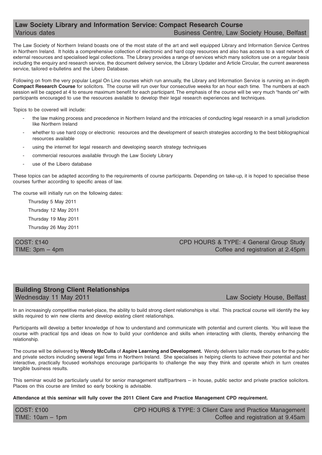#### **Law Society Library and Information Service: Compact Research Course** Various dates **Business Centre, Law Society House, Belfast** Various dates

The Law Society of Northern Ireland boasts one of the most state of the art and well equipped Library and Information Service Centres in Northern Ireland. It holds a comprehensive collection of electronic and hard copy resources and also has access to a vast network of external resources and specialised legal collections. The Library provides a range of services which many solicitors use on a regular basis including the enquiry and research service, the document delivery service, the Library Updater and Article Circular, the current awareness service, tailored e-bulletins and the Libero Database.

Following on from the very popular Legal On Line courses which run annually, the Library and Information Service is running an in-depth **Compact Research Course** for solicitors. The course will run over four consecutive weeks for an hour each time. The numbers at each session will be capped at 4 to ensure maximum benefit for each participant. The emphasis of the course will be very much "hands on" with participants encouraged to use the resources available to develop their legal research experiences and techniques.

Topics to be covered will include:

- the law making process and precedence in Northern Ireland and the intricacies of conducting legal research in a small jurisdiction like Northern Ireland
- whether to use hard copy or electronic resources and the development of search strategies according to the best bibliographical resources available
- using the internet for legal research and developing search strategy techniques
- commercial resources available through the Law Society Library
- use of the Libero database

These topics can be adapted according to the requirements of course participants. Depending on take-up, it is hoped to specialise these courses further according to specific areas of law.

The course will initially run on the following dates:

Thursday 5 May 2011 Thursday 12 May 2011 Thursday 19 May 2011 Thursday 26 May 2011

COST: £140 CPD HOURS & TYPE: 4 General Group Study TIME: 3pm – 4pm

## **Building Strong Client Relationships**

Wednesday 11 May 2011 **Law Society House, Belfast** 

In an increasingly competitive market-place, the ability to build strong client relationships is vital. This practical course will identify the key skills required to win new clients and develop existing client relationships.

Participants will develop a better knowledge of how to understand and communicate with potential and current clients. You will leave the course with practical tips and ideas on how to build your confidence and skills when interacting with clients, thereby enhancing the relationship.

The course will be delivered by **Wendy McCulla** of **Aspire Learning and Development.** Wendy delivers tailor made courses for the public and private sectors including several legal firms in Northern Ireland. She specialises in helping clients to achieve their potential and her interactive, practically focused workshops encourage participants to challenge the way they think and operate which in turn creates tangible business results.

This seminar would be particularly useful for senior management staff/partners – in house, public sector and private practice solicitors. Places on this course are limited so early booking is advisable.

**Attendance at this seminar will fully cover the 2011 Client Care and Practice Management CPD requirement.**

COST: £100 CPD HOURS & TYPE: 3 Client Care and Practice Management TIME: 10am – 1pm Coffee and registration at 9.45am